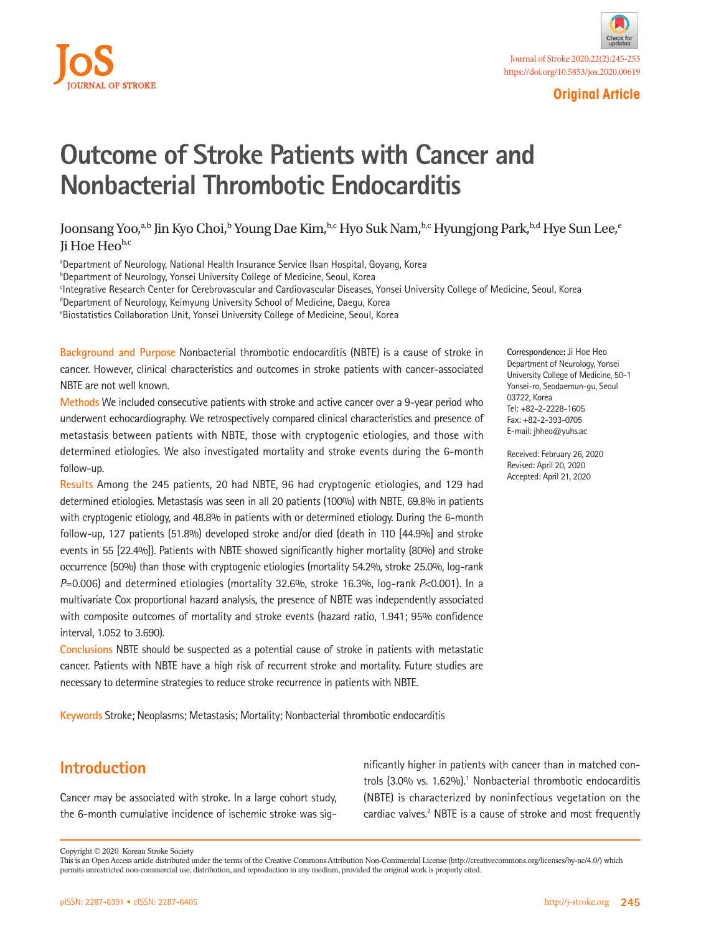



## **Original Article**

# **Outcome of Stroke Patients with Cancer and Nonbacterial Thrombotic Endocarditis**

## Joonsang Yoo, $a,b$  Jin Kyo Choi, $^b$  Young Dae Kim, $^{b,c}$  Hyo Suk Nam, $^{b,c}$  Hyungjong Park, $^{b,d}$  Hye Sun Lee, $^e$ Ii Hoe He $o^{b,c}$

aDepartment of Neurology, National Health Insurance Service Ilsan Hospital, Goyang, Korea <sup>b</sup>Department of Neurology, Yonsei University College of Medicine, Seoul, Korea c Integrative Research Center for Cerebrovascular and Cardiovascular Diseases, Yonsei University College of Medicine, Seoul, Korea <sup>d</sup>Department of Neurology, Keimyung University School of Medicine, Daegu, Korea e Biostatistics Collaboration Unit, Yonsei University College of Medicine, Seoul, Korea

**Background and Purpose** Nonbacterial thrombotic endocarditis (NBTE) is a cause of stroke in cancer. However, clinical characteristics and outcomes in stroke patients with cancer-associated NBTE are not well known.

**Methods** We included consecutive patients with stroke and active cancer over a 9-year period who underwent echocardiography. We retrospectively compared clinical characteristics and presence of metastasis between patients with NBTE, those with cryptogenic etiologies, and those with determined etiologies. We also investigated mortality and stroke events during the 6-month follow-up.

**Results** Among the 245 patients, 20 had NBTE, 96 had cryptogenic etiologies, and 129 had determined etiologies. Metastasis was seen in all 20 patients (100%) with NBTE, 69.8% in patients with cryptogenic etiology, and 48.8% in patients with or determined etiology. During the 6-month follow-up, 127 patients (51.8%) developed stroke and/or died (death in 110 [44.9%] and stroke events in 55 [22.4%]). Patients with NBTE showed significantly higher mortality (80%) and stroke occurrence (50%) than those with cryptogenic etiologies (mortality 54.2%, stroke 25.0%, log-rank *P*=0.006) and determined etiologies (mortality 32.6%, stroke 16.3%, log-rank *P*<0.001). In a multivariate Cox proportional hazard analysis, the presence of NBTE was independently associated with composite outcomes of mortality and stroke events (hazard ratio, 1.941; 95% confidence interval, 1.052 to 3.690).

**Conclusions** NBTE should be suspected as a potential cause of stroke in patients with metastatic cancer. Patients with NBTE have a high risk of recurrent stroke and mortality. Future studies are necessary to determine strategies to reduce stroke recurrence in patients with NBTE.

**Keywords** Stroke; Neoplasms; Metastasis; Mortality; Nonbacterial thrombotic endocarditis

**Correspondence:** Ji Hoe Heo Department of Neurology, Yonsei University College of Medicine, 50-1 Yonsei-ro, Seodaemun-gu, Seoul 03722, Korea Tel: +82-2-2228-1605 Fax: +82-2-393-0705 E-mail: jhheo@yuhs.ac

Received: February 26, 2020 Revised: April 20, 2020 Accepted: April 21, 2020

## **Introduction**

Cancer may be associated with stroke. In a large cohort study, the 6-month cumulative incidence of ischemic stroke was sig-

nificantly higher in patients with cancer than in matched controls (3.0% vs. 1.62%).<sup>1</sup> Nonbacterial thrombotic endocarditis (NBTE) is characterized by noninfectious vegetation on the cardiac valves.<sup>2</sup> NBTE is a cause of stroke and most frequently

Copyright © 2020 Korean Stroke Society

This is an Open Access article distributed under the terms of the Creative Commons Attribution Non-Commercial License (http://creativecommons.org/licenses/by-nc/4.0/) which permits unrestricted non-commercial use, distribution, and reproduction in any medium, provided the original work is properly cited.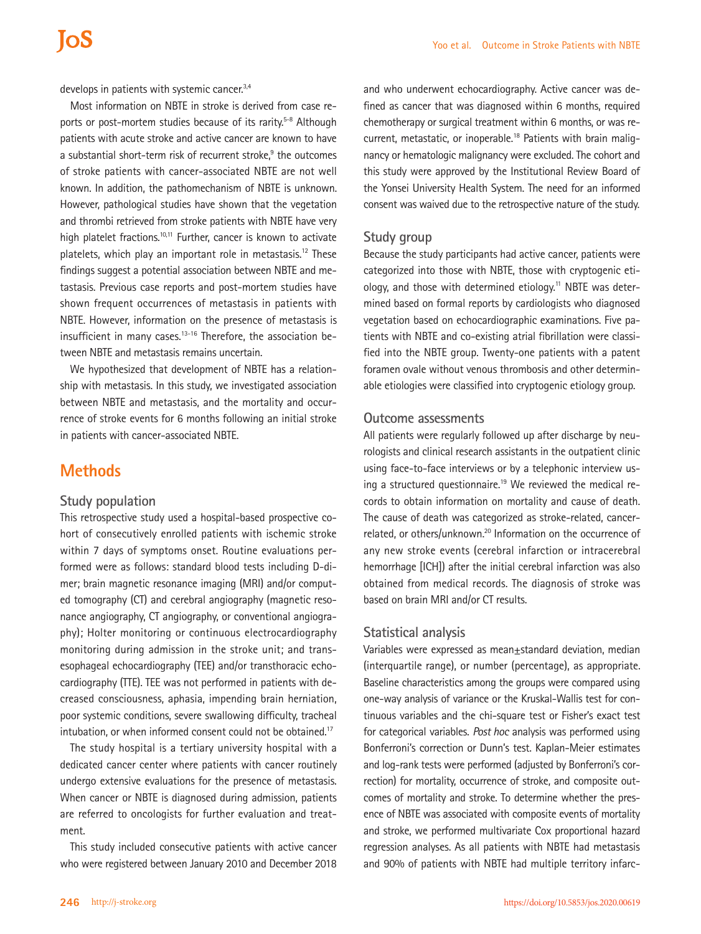develops in patients with systemic cancer.<sup>3,4</sup>

Most information on NBTE in stroke is derived from case reports or post-mortem studies because of its rarity.<sup>5-8</sup> Although patients with acute stroke and active cancer are known to have a substantial short-term risk of recurrent stroke,<sup>9</sup> the outcomes of stroke patients with cancer-associated NBTE are not well known. In addition, the pathomechanism of NBTE is unknown. However, pathological studies have shown that the vegetation and thrombi retrieved from stroke patients with NBTE have very high platelet fractions.<sup>10,11</sup> Further, cancer is known to activate platelets, which play an important role in metastasis.<sup>12</sup> These findings suggest a potential association between NBTE and metastasis. Previous case reports and post-mortem studies have shown frequent occurrences of metastasis in patients with NBTE. However, information on the presence of metastasis is insufficient in many cases. $13-16$  Therefore, the association between NBTE and metastasis remains uncertain.

We hypothesized that development of NBTE has a relationship with metastasis. In this study, we investigated association between NBTE and metastasis, and the mortality and occurrence of stroke events for 6 months following an initial stroke in patients with cancer-associated NBTE.

## **Methods**

#### **Study population**

This retrospective study used a hospital-based prospective cohort of consecutively enrolled patients with ischemic stroke within 7 days of symptoms onset. Routine evaluations performed were as follows: standard blood tests including D-dimer; brain magnetic resonance imaging (MRI) and/or computed tomography (CT) and cerebral angiography (magnetic resonance angiography, CT angiography, or conventional angiography); Holter monitoring or continuous electrocardiography monitoring during admission in the stroke unit; and transesophageal echocardiography (TEE) and/or transthoracic echocardiography (TTE). TEE was not performed in patients with decreased consciousness, aphasia, impending brain herniation, poor systemic conditions, severe swallowing difficulty, tracheal intubation, or when informed consent could not be obtained.<sup>17</sup>

The study hospital is a tertiary university hospital with a dedicated cancer center where patients with cancer routinely undergo extensive evaluations for the presence of metastasis. When cancer or NBTE is diagnosed during admission, patients are referred to oncologists for further evaluation and treatment.

This study included consecutive patients with active cancer who were registered between January 2010 and December 2018

and who underwent echocardiography. Active cancer was defined as cancer that was diagnosed within 6 months, required chemotherapy or surgical treatment within 6 months, or was recurrent, metastatic, or inoperable.<sup>18</sup> Patients with brain malignancy or hematologic malignancy were excluded. The cohort and this study were approved by the Institutional Review Board of the Yonsei University Health System. The need for an informed consent was waived due to the retrospective nature of the study.

#### **Study group**

Because the study participants had active cancer, patients were categorized into those with NBTE, those with cryptogenic etiology, and those with determined etiology.<sup>11</sup> NBTE was determined based on formal reports by cardiologists who diagnosed vegetation based on echocardiographic examinations. Five patients with NBTE and co-existing atrial fibrillation were classified into the NBTE group. Twenty-one patients with a patent foramen ovale without venous thrombosis and other determinable etiologies were classified into cryptogenic etiology group.

#### **Outcome assessments**

All patients were regularly followed up after discharge by neurologists and clinical research assistants in the outpatient clinic using face-to-face interviews or by a telephonic interview using a structured questionnaire.<sup>19</sup> We reviewed the medical records to obtain information on mortality and cause of death. The cause of death was categorized as stroke-related, cancerrelated, or others/unknown.<sup>20</sup> Information on the occurrence of any new stroke events (cerebral infarction or intracerebral hemorrhage [ICH]) after the initial cerebral infarction was also obtained from medical records. The diagnosis of stroke was based on brain MRI and/or CT results.

#### **Statistical analysis**

Variables were expressed as mean±standard deviation, median (interquartile range), or number (percentage), as appropriate. Baseline characteristics among the groups were compared using one-way analysis of variance or the Kruskal-Wallis test for continuous variables and the chi-square test or Fisher's exact test for categorical variables. *Post hoc* analysis was performed using Bonferroni's correction or Dunn's test. Kaplan-Meier estimates and log-rank tests were performed (adjusted by Bonferroni's correction) for mortality, occurrence of stroke, and composite outcomes of mortality and stroke. To determine whether the presence of NBTE was associated with composite events of mortality and stroke, we performed multivariate Cox proportional hazard regression analyses. As all patients with NBTE had metastasis and 90% of patients with NBTE had multiple territory infarc-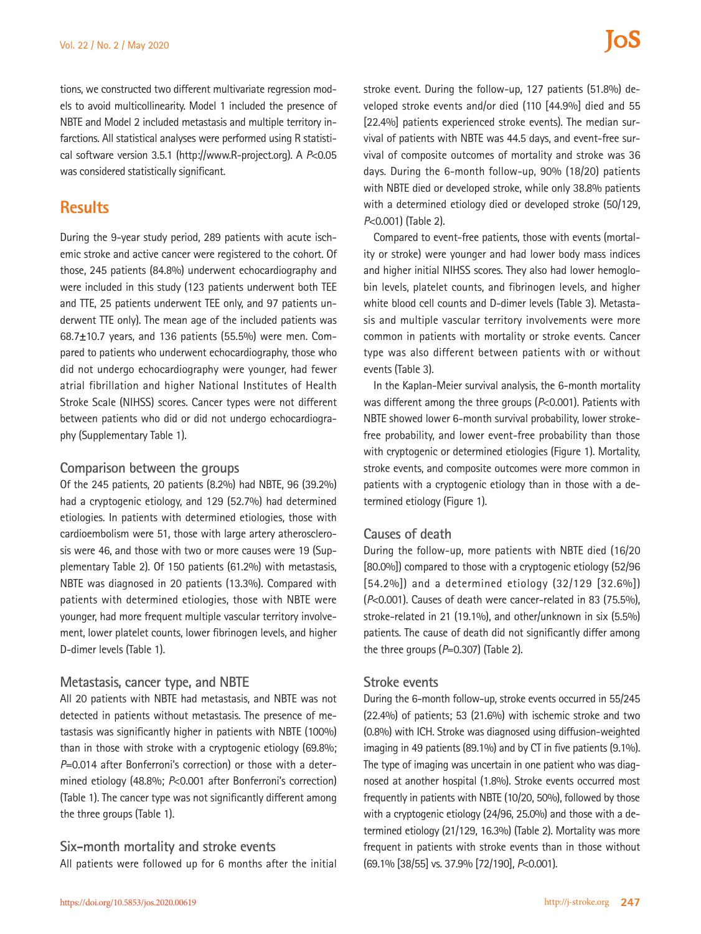tions, we constructed two different multivariate regression models to avoid multicollinearity. Model 1 included the presence of NBTE and Model 2 included metastasis and multiple territory infarctions. All statistical analyses were performed using R statistical software version 3.5.1 (http://www.R-project.org). A *P*<0.05 was considered statistically significant.

## **Results**

During the 9-year study period, 289 patients with acute ischemic stroke and active cancer were registered to the cohort. Of those, 245 patients (84.8%) underwent echocardiography and were included in this study (123 patients underwent both TEE and TTE, 25 patients underwent TEE only, and 97 patients underwent TTE only). The mean age of the included patients was 68.7±10.7 years, and 136 patients (55.5%) were men. Compared to patients who underwent echocardiography, those who did not undergo echocardiography were younger, had fewer atrial fibrillation and higher National Institutes of Health Stroke Scale (NIHSS) scores. Cancer types were not different between patients who did or did not undergo echocardiography (Supplementary Table 1).

### **Comparison between the groups**

Of the 245 patients, 20 patients (8.2%) had NBTE, 96 (39.2%) had a cryptogenic etiology, and 129 (52.7%) had determined etiologies. In patients with determined etiologies, those with cardioembolism were 51, those with large artery atherosclerosis were 46, and those with two or more causes were 19 (Supplementary Table 2). Of 150 patients (61.2%) with metastasis, NBTE was diagnosed in 20 patients (13.3%). Compared with patients with determined etiologies, those with NBTE were younger, had more frequent multiple vascular territory involvement, lower platelet counts, lower fibrinogen levels, and higher D-dimer levels (Table 1).

### **Metastasis, cancer type, and NBTE**

All 20 patients with NBTE had metastasis, and NBTE was not detected in patients without metastasis. The presence of metastasis was significantly higher in patients with NBTE (100%) than in those with stroke with a cryptogenic etiology (69.8%; *P*=0.014 after Bonferroni's correction) or those with a determined etiology (48.8%; *P*<0.001 after Bonferroni's correction) (Table 1). The cancer type was not significantly different among the three groups (Table 1).

### **Six-month mortality and stroke events**

All patients were followed up for 6 months after the initial

stroke event. During the follow-up, 127 patients (51.8%) developed stroke events and/or died (110 [44.9%] died and 55 [22.4%] patients experienced stroke events). The median survival of patients with NBTE was 44.5 days, and event-free survival of composite outcomes of mortality and stroke was 36 days. During the 6-month follow-up, 90% (18/20) patients with NBTE died or developed stroke, while only 38.8% patients with a determined etiology died or developed stroke (50/129, *P*<0.001) (Table 2).

Compared to event-free patients, those with events (mortality or stroke) were younger and had lower body mass indices and higher initial NIHSS scores. They also had lower hemoglobin levels, platelet counts, and fibrinogen levels, and higher white blood cell counts and D-dimer levels (Table 3). Metastasis and multiple vascular territory involvements were more common in patients with mortality or stroke events. Cancer type was also different between patients with or without events (Table 3).

In the Kaplan-Meier survival analysis, the 6-month mortality was different among the three groups (*P*<0.001). Patients with NBTE showed lower 6-month survival probability, lower strokefree probability, and lower event-free probability than those with cryptogenic or determined etiologies (Figure 1). Mortality, stroke events, and composite outcomes were more common in patients with a cryptogenic etiology than in those with a determined etiology (Figure 1).

### **Causes of death**

During the follow-up, more patients with NBTE died (16/20 [80.0%]) compared to those with a cryptogenic etiology (52/96 [54.2%]) and a determined etiology (32/129 [32.6%]) (*P*<0.001). Causes of death were cancer-related in 83 (75.5%), stroke-related in 21 (19.1%), and other/unknown in six (5.5%) patients. The cause of death did not significantly differ among the three groups (*P*=0.307) (Table 2).

### **Stroke events**

During the 6-month follow-up, stroke events occurred in 55/245 (22.4%) of patients; 53 (21.6%) with ischemic stroke and two (0.8%) with ICH. Stroke was diagnosed using diffusion-weighted imaging in 49 patients (89.1%) and by CT in five patients (9.1%). The type of imaging was uncertain in one patient who was diagnosed at another hospital (1.8%). Stroke events occurred most frequently in patients with NBTE (10/20, 50%), followed by those with a cryptogenic etiology (24/96, 25.0%) and those with a determined etiology (21/129, 16.3%) (Table 2). Mortality was more frequent in patients with stroke events than in those without (69.1% [38/55] vs. 37.9% [72/190], *P*<0.001).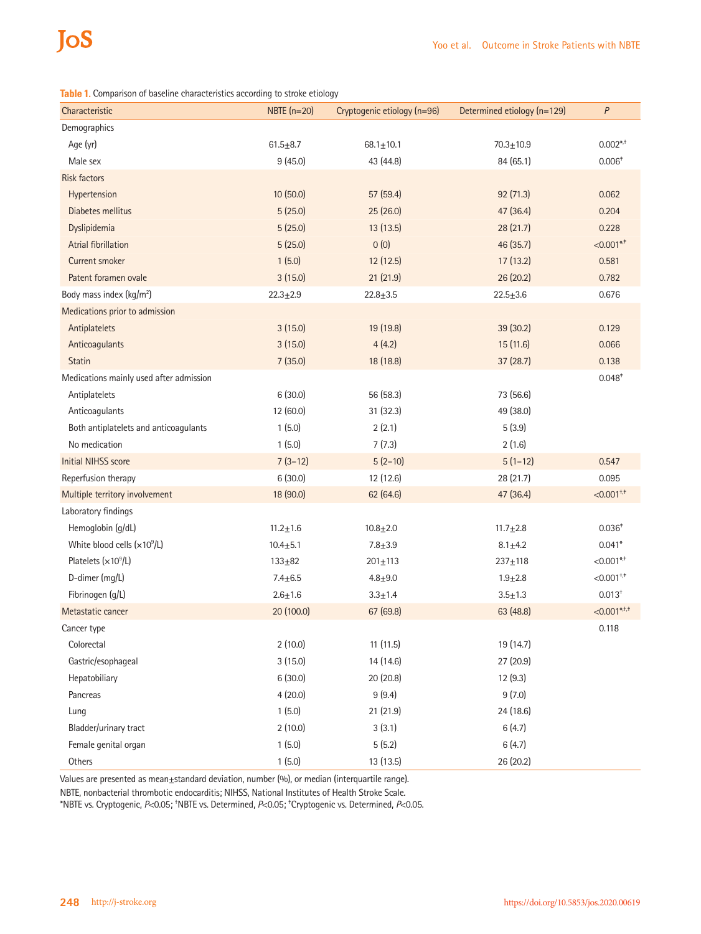**Table 1.** Comparison of baseline characteristics according to stroke etiology

| Characteristic                          | NBTE $(n=20)$  | Cryptogenic etiology (n=96) | Determined etiology (n=129) | $\boldsymbol{P}$         |
|-----------------------------------------|----------------|-----------------------------|-----------------------------|--------------------------|
| Demographics                            |                |                             |                             |                          |
| Age (yr)                                | $61.5 + 8.7$   | $68.1 \pm 10.1$             | $70.3 + 10.9$               | $0.002$ * <sup>+</sup>   |
| Male sex                                | 9(45.0)        | 43 (44.8)                   | 84 (65.1)                   | $0.006*$                 |
| <b>Risk factors</b>                     |                |                             |                             |                          |
| Hypertension                            | 10(50.0)       | 57(59.4)                    | 92 (71.3)                   | 0.062                    |
| Diabetes mellitus                       | 5(25.0)        | 25(26.0)                    | 47 (36.4)                   | 0.204                    |
| Dyslipidemia                            | 5(25.0)        | 13(13.5)                    | 28(21.7)                    | 0.228                    |
| <b>Atrial fibrillation</b>              | 5(25.0)        | 0(0)                        | 46 (35.7)                   | $< 0.001$ *,*            |
| <b>Current smoker</b>                   | 1(5.0)         | 12 (12.5)                   | 17 (13.2)                   | 0.581                    |
| Patent foramen ovale                    | 3(15.0)        | 21(21.9)                    | 26 (20.2)                   | 0.782                    |
| Body mass index (kg/m <sup>2</sup> )    | $22.3 + 2.9$   | $22.8 + 3.5$                | $22.5 + 3.6$                | 0.676                    |
| Medications prior to admission          |                |                             |                             |                          |
| Antiplatelets                           | 3(15.0)        | 19 (19.8)                   | 39 (30.2)                   | 0.129                    |
| Anticoagulants                          | 3(15.0)        | 4(4.2)                      | 15 (11.6)                   | 0.066                    |
| <b>Statin</b>                           | 7(35.0)        | 18 (18.8)                   | 37(28.7)                    | 0.138                    |
| Medications mainly used after admission |                |                             |                             | $0.048*$                 |
| Antiplatelets                           | 6(30.0)        | 56 (58.3)                   | 73 (56.6)                   |                          |
| Anticoagulants                          | 12 (60.0)      | 31(32.3)                    | 49 (38.0)                   |                          |
| Both antiplatelets and anticoagulants   | 1(5.0)         | 2(2.1)                      | 5(3.9)                      |                          |
| No medication                           | 1(5.0)         | 7(7.3)                      | 2(1.6)                      |                          |
| <b>Initial NIHSS score</b>              | $7(3-12)$      | $5(2-10)$                   | $5(1-12)$                   | 0.547                    |
| Reperfusion therapy                     | 6(30.0)        | 12 (12.6)                   | 28 (21.7)                   | 0.095                    |
| Multiple territory involvement          | 18 (90.0)      | 62 (64.6)                   | 47 (36.4)                   | $< 0.001$ <sup>+,+</sup> |
| Laboratory findings                     |                |                             |                             |                          |
| Hemoglobin (g/dL)                       | $11.2 \pm 1.6$ | $10.8 + 2.0$                | $11.7 + 2.8$                | $0.036*$                 |
| White blood cells $(x109/L)$            | $10.4 + 5.1$   | $7.8 + 3.9$                 | $8.1 + 4.2$                 | $0.041*$                 |
| Platelets $(x10^9/L)$                   | $133 + 82$     | $201 + 113$                 | $237 + 118$                 | $< 0.001$ * <sup>+</sup> |
| D-dimer (mg/L)                          | $7.4 + 6.5$    | $4.8 + 9.0$                 | $1.9 + 2.8$                 | $< 0.001$ <sup>+,+</sup> |
| Fibrinogen (g/L)                        | $2.6 + 1.6$    | $3.3 + 1.4$                 | $3.5 + 1.3$                 | $0.013^{+}$              |
| Metastatic cancer                       | 20 (100.0)     | 67 (69.8)                   | 63 (48.8)                   | $< 0.001$ *,†,†          |
| Cancer type                             |                |                             |                             | 0.118                    |
| Colorectal                              | 2(10.0)        | 11(11.5)                    | 19 (14.7)                   |                          |
| Gastric/esophageal                      | 3(15.0)        | 14 (14.6)                   | 27 (20.9)                   |                          |
| Hepatobiliary                           | 6(30.0)        | 20 (20.8)                   | 12 (9.3)                    |                          |
| Pancreas                                | 4(20.0)        | 9(9.4)                      | 9(7.0)                      |                          |
| Lung                                    | 1(5.0)         | 21 (21.9)                   | 24 (18.6)                   |                          |
| Bladder/urinary tract                   | 2(10.0)        | 3(3.1)                      | 6(4.7)                      |                          |
| Female genital organ                    | 1(5.0)         | 5(5.2)                      | 6(4.7)                      |                          |
| Others                                  | 1(5.0)         | 13 (13.5)                   | 26 (20.2)                   |                          |

Values are presented as mean±standard deviation, number (%), or median (interquartile range).

NBTE, nonbacterial thrombotic endocarditis; NIHSS, National Institutes of Health Stroke Scale.

\*NBTE vs. Cryptogenic, *P*<0.05; † NBTE vs. Determined, *P*<0.05; ‡ Cryptogenic vs. Determined, *P*<0.05.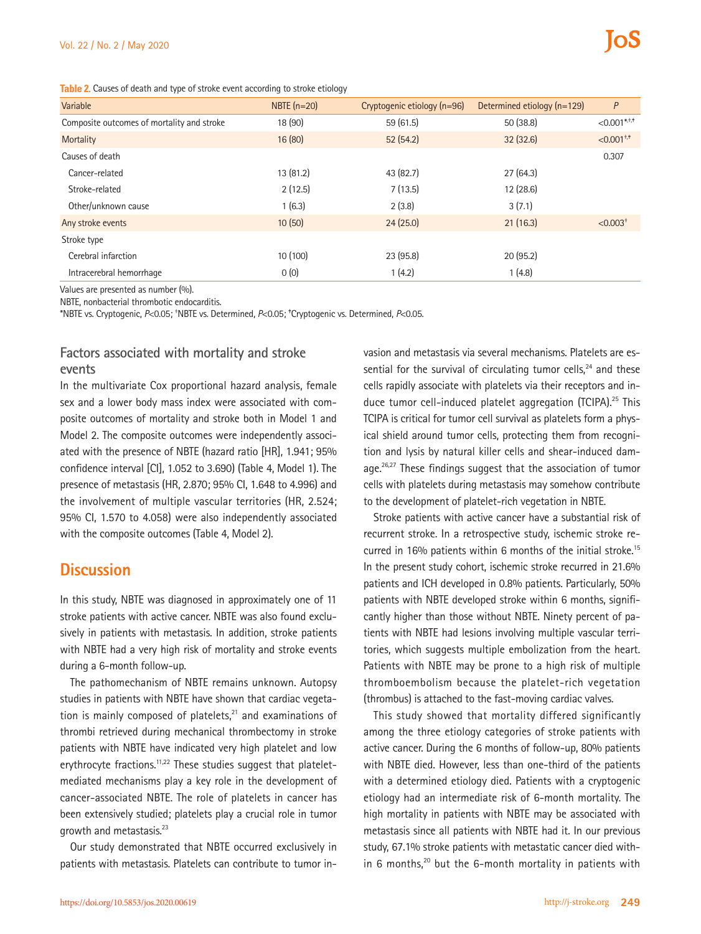| Variable                                   | NBTE $(n=20)$ | Cryptogenic etiology (n=96) | Determined etiology (n=129) | P                           |
|--------------------------------------------|---------------|-----------------------------|-----------------------------|-----------------------------|
| Composite outcomes of mortality and stroke | 18 (90)       | 59 (61.5)                   | 50(38.8)                    | $< 0.001$ *, <sup>†,†</sup> |
| Mortality                                  | 16(80)        | 52(54.2)                    | 32(32.6)                    | $< 0.001^{+,+}$             |
| Causes of death                            |               |                             |                             | 0.307                       |
| Cancer-related                             | 13(81.2)      | 43 (82.7)                   | 27(64.3)                    |                             |
| Stroke-related                             | 2(12.5)       | 7(13.5)                     | 12(28.6)                    |                             |
| Other/unknown cause                        | 1(6.3)        | 2(3.8)                      | 3(7.1)                      |                             |
| Any stroke events                          | 10(50)        | 24(25.0)                    | 21(16.3)                    | $< 0.003+$                  |
| Stroke type                                |               |                             |                             |                             |
| Cerebral infarction                        | 10(100)       | 23 (95.8)                   | 20(95.2)                    |                             |
| Intracerebral hemorrhage                   | 0(0)          | 1(4.2)                      | 1(4.8)                      |                             |

Values are presented as number (%).

NBTE, nonbacterial thrombotic endocarditis.

\*NBTE vs. Cryptogenic, *P*<0.05; † NBTE vs. Determined, *P*<0.05; ‡ Cryptogenic vs. Determined, *P*<0.05.

## **Factors associated with mortality and stroke events**

In the multivariate Cox proportional hazard analysis, female sex and a lower body mass index were associated with composite outcomes of mortality and stroke both in Model 1 and Model 2. The composite outcomes were independently associated with the presence of NBTE (hazard ratio [HR], 1.941; 95% confidence interval [CI], 1.052 to 3.690) (Table 4, Model 1). The presence of metastasis (HR, 2.870; 95% CI, 1.648 to 4.996) and the involvement of multiple vascular territories (HR, 2.524; 95% CI, 1.570 to 4.058) were also independently associated with the composite outcomes (Table 4, Model 2).

## **Discussion**

In this study, NBTE was diagnosed in approximately one of 11 stroke patients with active cancer. NBTE was also found exclusively in patients with metastasis. In addition, stroke patients with NBTE had a very high risk of mortality and stroke events during a 6-month follow-up.

The pathomechanism of NBTE remains unknown. Autopsy studies in patients with NBTE have shown that cardiac vegetation is mainly composed of platelets, $21$  and examinations of thrombi retrieved during mechanical thrombectomy in stroke patients with NBTE have indicated very high platelet and low erythrocyte fractions.<sup>11,22</sup> These studies suggest that plateletmediated mechanisms play a key role in the development of cancer-associated NBTE. The role of platelets in cancer has been extensively studied; platelets play a crucial role in tumor growth and metastasis.<sup>23</sup>

Our study demonstrated that NBTE occurred exclusively in patients with metastasis. Platelets can contribute to tumor invasion and metastasis via several mechanisms. Platelets are essential for the survival of circulating tumor cells,<sup>24</sup> and these cells rapidly associate with platelets via their receptors and induce tumor cell-induced platelet aggregation (TCIPA).<sup>25</sup> This TCIPA is critical for tumor cell survival as platelets form a physical shield around tumor cells, protecting them from recognition and lysis by natural killer cells and shear-induced damage.<sup>26,27</sup> These findings suggest that the association of tumor cells with platelets during metastasis may somehow contribute to the development of platelet-rich vegetation in NBTE.

Stroke patients with active cancer have a substantial risk of recurrent stroke. In a retrospective study, ischemic stroke recurred in 16% patients within 6 months of the initial stroke.<sup>15</sup> In the present study cohort, ischemic stroke recurred in 21.6% patients and ICH developed in 0.8% patients. Particularly, 50% patients with NBTE developed stroke within 6 months, significantly higher than those without NBTE. Ninety percent of patients with NBTE had lesions involving multiple vascular territories, which suggests multiple embolization from the heart. Patients with NBTE may be prone to a high risk of multiple thromboembolism because the platelet-rich vegetation (thrombus) is attached to the fast-moving cardiac valves.

This study showed that mortality differed significantly among the three etiology categories of stroke patients with active cancer. During the 6 months of follow-up, 80% patients with NBTE died. However, less than one-third of the patients with a determined etiology died. Patients with a cryptogenic etiology had an intermediate risk of 6-month mortality. The high mortality in patients with NBTE may be associated with metastasis since all patients with NBTE had it. In our previous study, 67.1% stroke patients with metastatic cancer died within 6 months, $20$  but the 6-month mortality in patients with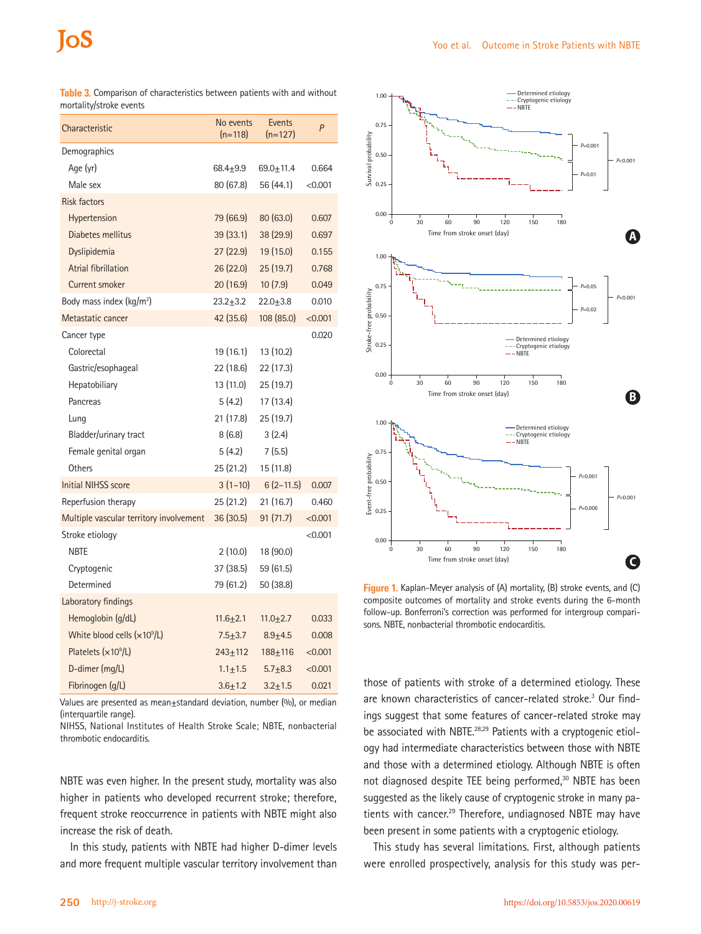| Characteristic                          | No events<br>$(n=118)$ | Events<br>$(n=127)$ | P       |
|-----------------------------------------|------------------------|---------------------|---------|
| Demographics                            |                        |                     |         |
| Age (yr)                                | $68.4 + 9.9$           | $69.0 + 11.4$       | 0.664   |
| Male sex                                | 80(67.8)               | 56 (44.1)           | < 0.001 |
| <b>Risk factors</b>                     |                        |                     |         |
| Hypertension                            | 79 (66.9)              | 80(63.0)            | 0.607   |
| Diabetes mellitus                       | 39(33.1)               | 38 (29.9)           | 0.697   |
| Dyslipidemia                            | 27(22.9)               | 19 (15.0)           | 0.155   |
| <b>Atrial fibrillation</b>              | 26 (22.0)              | 25(19.7)            | 0.768   |
| Current smoker                          | 20 (16.9)              | 10(7.9)             | 0.049   |
| Body mass index $(kq/m2)$               | 23.2±3.2               | $22.0 + 3.8$        | 0.010   |
| Metastatic cancer                       | 42 (35.6)              | 108 (85.0)          | < 0.001 |
| Cancer type                             |                        |                     | 0.020   |
| Colorectal                              | 19 (16.1)              | 13 (10.2)           |         |
| Gastric/esophageal                      | 22 (18.6)              | 22 (17.3)           |         |
| Hepatobiliary                           | 13 (11.0)              | 25 (19.7)           |         |
| Pancreas                                | 5 (4.2)                | 17 (13.4)           |         |
| Lung                                    | 21(17.8)               | 25 (19.7)           |         |
| Bladder/urinary tract                   | 8(6.8)                 | 3(2.4)              |         |
| Female genital organ                    | 5(4.2)                 | 7(5.5)              |         |
| Others                                  | 25 (21.2)              | 15 (11.8)           |         |
| <b>Initial NIHSS score</b>              | $3(1-10)$              | $6(2-11.5)$         | 0.007   |
| Reperfusion therapy                     | 25(21.2)               | 21(16.7)            | 0.460   |
| Multiple vascular territory involvement | 36 (30.5)              | 91 (71.7)           | < 0.001 |
| Stroke etiology                         |                        |                     | < 0.001 |
| <b>NBTE</b>                             | 2(10.0)                | 18 (90.0)           |         |
| Cryptogenic                             | 37 (38.5)              | 59 (61.5)           |         |
| Determined                              | 79 (61.2)              | 50 (38.8)           |         |
| Laboratory findings                     |                        |                     |         |
| Hemoglobin (g/dL)                       | $11.6 + 2.1$           | 11.0 $\pm$ 2.7      | 0.033   |
| White blood cells $(x109/L)$            | $7.5 + 3.7$            | $8.9 + 4.5$         | 0.008   |
| Platelets $(x109/L)$                    | 243±112                | $188 + 116$         | < 0.001 |
| D-dimer (mg/L)                          | $1.1 + 1.5$            | $5.7 + 8.3$         | < 0.001 |
| Fibrinogen (g/L)                        | $3.6 + 1.2$            | $3.2 + 1.5$         | 0.021   |
|                                         |                        |                     |         |

**Table 3.** Comparison of characteristics between patients with and without mortality/stroke events

Values are presented as mean±standard deviation, number (%), or median (interquartile range).

NIHSS, National Institutes of Health Stroke Scale; NBTE, nonbacterial thrombotic endocarditis.

NBTE was even higher. In the present study, mortality was also higher in patients who developed recurrent stroke; therefore, frequent stroke reoccurrence in patients with NBTE might also increase the risk of death.

In this study, patients with NBTE had higher D-dimer levels and more frequent multiple vascular territory involvement than



**Figure 1.** Kaplan-Meyer analysis of (A) mortality, (B) stroke events, and (C) composite outcomes of mortality and stroke events during the 6-month follow-up. Bonferroni's correction was performed for intergroup comparisons. NBTE, nonbacterial thrombotic endocarditis.

those of patients with stroke of a determined etiology. These are known characteristics of cancer-related stroke.<sup>3</sup> Our findings suggest that some features of cancer-related stroke may be associated with NBTE.<sup>28,29</sup> Patients with a cryptogenic etiology had intermediate characteristics between those with NBTE and those with a determined etiology. Although NBTE is often not diagnosed despite TEE being performed,<sup>30</sup> NBTE has been suggested as the likely cause of cryptogenic stroke in many patients with cancer.<sup>29</sup> Therefore, undiagnosed NBTE may have been present in some patients with a cryptogenic etiology.

This study has several limitations. First, although patients were enrolled prospectively, analysis for this study was per-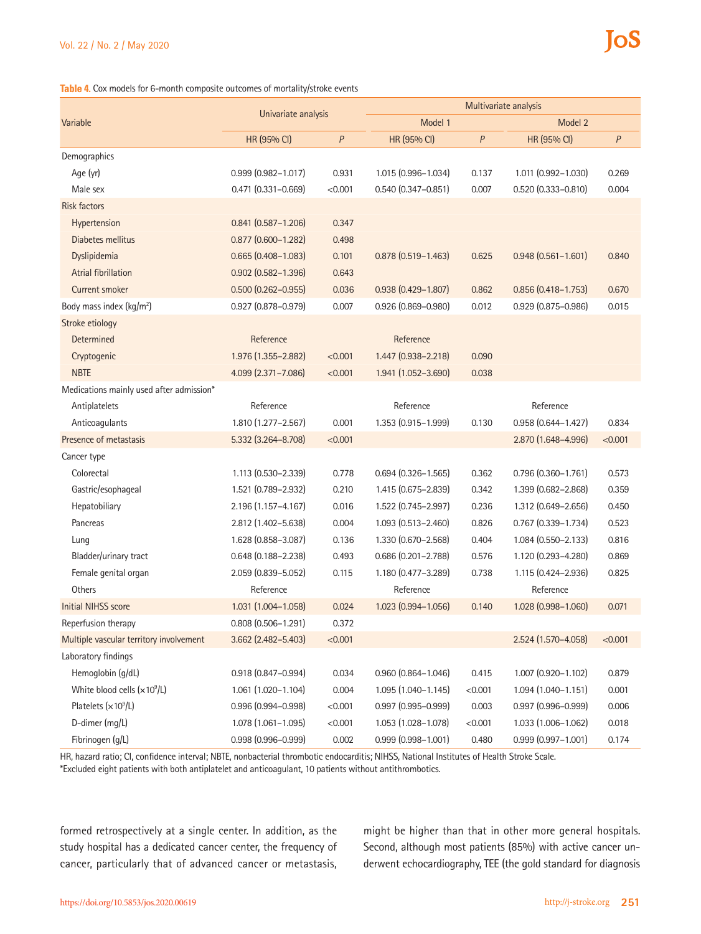#### **Table 4.** Cox models for 6-month composite outcomes of mortality/stroke events

|                                          | Univariate analysis       |         | Multivariate analysis     |         |                           |         |
|------------------------------------------|---------------------------|---------|---------------------------|---------|---------------------------|---------|
| Variable                                 |                           |         | Model 1                   |         | Model 2                   |         |
|                                          | HR (95% CI)               | P       | HR (95% CI)               | P       | HR (95% CI)               | P       |
| Demographics                             |                           |         |                           |         |                           |         |
| Age (yr)                                 | $0.999$ $(0.982 - 1.017)$ | 0.931   | 1.015 (0.996-1.034)       | 0.137   | 1.011 (0.992-1.030)       | 0.269   |
| Male sex                                 | $0.471(0.331 - 0.669)$    | < 0.001 | $0.540(0.347 - 0.851)$    | 0.007   | $0.520(0.333 - 0.810)$    | 0.004   |
| <b>Risk factors</b>                      |                           |         |                           |         |                           |         |
| Hypertension                             | $0.841$ $(0.587 - 1.206)$ | 0.347   |                           |         |                           |         |
| Diabetes mellitus                        | $0.877$ $(0.600 - 1.282)$ | 0.498   |                           |         |                           |         |
| Dyslipidemia                             | $0.665$ $(0.408 - 1.083)$ | 0.101   | $0.878$ $(0.519 - 1.463)$ | 0.625   | $0.948(0.561 - 1.601)$    | 0.840   |
| <b>Atrial fibrillation</b>               | $0.902$ $(0.582 - 1.396)$ | 0.643   |                           |         |                           |         |
| <b>Current smoker</b>                    | $0.500$ $(0.262 - 0.955)$ | 0.036   | $0.938(0.429 - 1.807)$    | 0.862   | $0.856$ $(0.418 - 1.753)$ | 0.670   |
| Body mass index (kg/m <sup>2</sup> )     | $0.927$ $(0.878 - 0.979)$ | 0.007   | $0.926(0.869 - 0.980)$    | 0.012   | 0.929 (0.875-0.986)       | 0.015   |
| Stroke etiology                          |                           |         |                           |         |                           |         |
| Determined                               | Reference                 |         | Reference                 |         |                           |         |
| Cryptogenic                              | 1.976 (1.355-2.882)       | < 0.001 | 1.447 (0.938-2.218)       | 0.090   |                           |         |
| <b>NBTE</b>                              | 4.099 (2.371-7.086)       | < 0.001 | 1.941 (1.052-3.690)       | 0.038   |                           |         |
| Medications mainly used after admission* |                           |         |                           |         |                           |         |
| Antiplatelets                            | Reference                 |         | Reference                 |         | Reference                 |         |
| Anticoagulants                           | 1.810 (1.277-2.567)       | 0.001   | 1.353 (0.915-1.999)       | 0.130   | $0.958(0.644 - 1.427)$    | 0.834   |
| Presence of metastasis                   | 5.332 (3.264-8.708)       | < 0.001 |                           |         | 2.870 (1.648-4.996)       | < 0.001 |
| Cancer type                              |                           |         |                           |         |                           |         |
| Colorectal                               | 1.113 (0.530-2.339)       | 0.778   | $0.694(0.326 - 1.565)$    | 0.362   | $0.796(0.360 - 1.761)$    | 0.573   |
| Gastric/esophageal                       | 1.521 (0.789-2.932)       | 0.210   | 1.415 (0.675-2.839)       | 0.342   | 1.399 (0.682-2.868)       | 0.359   |
| Hepatobiliary                            | 2.196 (1.157-4.167)       | 0.016   | 1.522 (0.745-2.997)       | 0.236   | 1.312 (0.649-2.656)       | 0.450   |
| Pancreas                                 | 2.812 (1.402-5.638)       | 0.004   | 1.093 (0.513-2.460)       | 0.826   | $0.767$ $(0.339 - 1.734)$ | 0.523   |
| Lung                                     | 1.628 (0.858-3.087)       | 0.136   | 1.330 (0.670-2.568)       | 0.404   | 1.084 (0.550-2.133)       | 0.816   |
| Bladder/urinary tract                    | $0.648$ $(0.188 - 2.238)$ | 0.493   | $0.686$ $(0.201 - 2.788)$ | 0.576   | 1.120 (0.293-4.280)       | 0.869   |
| Female genital organ                     | 2.059 (0.839-5.052)       | 0.115   | 1.180 (0.477-3.289)       | 0.738   | 1.115 (0.424-2.936)       | 0.825   |
| Others                                   | Reference                 |         | Reference                 |         | Reference                 |         |
| <b>Initial NIHSS score</b>               | 1.031 (1.004-1.058)       | 0.024   | 1.023 (0.994-1.056)       | 0.140   | 1.028 (0.998-1.060)       | 0.071   |
| Reperfusion therapy                      | $0.808$ $(0.506 - 1.291)$ | 0.372   |                           |         |                           |         |
| Multiple vascular territory involvement  | $3.662$ (2.482-5.403)     | < 0.001 |                           |         | 2.524 (1.570-4.058)       | < 0.001 |
| Laboratory findings                      |                           |         |                           |         |                           |         |
| Hemoglobin (g/dL)                        | $0.918(0.847 - 0.994)$    | 0.034   | $0.960$ $(0.864 - 1.046)$ | 0.415   | 1.007 (0.920-1.102)       | 0.879   |
| White blood cells (x10 <sup>9</sup> /L)  | 1.061 (1.020-1.104)       | 0.004   | 1.095 (1.040-1.145)       | < 0.001 | 1.094 (1.040-1.151)       | 0.001   |
| Platelets $(x10^9/L)$                    | $0.996(0.994 - 0.998)$    | < 0.001 | $0.997$ $(0.995 - 0.999)$ | 0.003   | $0.997(0.996 - 0.999)$    | 0.006   |
| D-dimer (mg/L)                           | 1.078 (1.061-1.095)       | < 0.001 | 1.053 (1.028-1.078)       | < 0.001 | 1.033 (1.006-1.062)       | 0.018   |
| Fibrinogen (g/L)                         | $0.998(0.996 - 0.999)$    | 0.002   | $0.999$ $(0.998 - 1.001)$ | 0.480   | $0.999$ $(0.997 - 1.001)$ | 0.174   |

HR, hazard ratio; CI, confidence interval; NBTE, nonbacterial thrombotic endocarditis; NIHSS, National Institutes of Health Stroke Scale.

\*Excluded eight patients with both antiplatelet and anticoagulant, 10 patients without antithrombotics.

formed retrospectively at a single center. In addition, as the study hospital has a dedicated cancer center, the frequency of cancer, particularly that of advanced cancer or metastasis,

might be higher than that in other more general hospitals. Second, although most patients (85%) with active cancer underwent echocardiography, TEE (the gold standard for diagnosis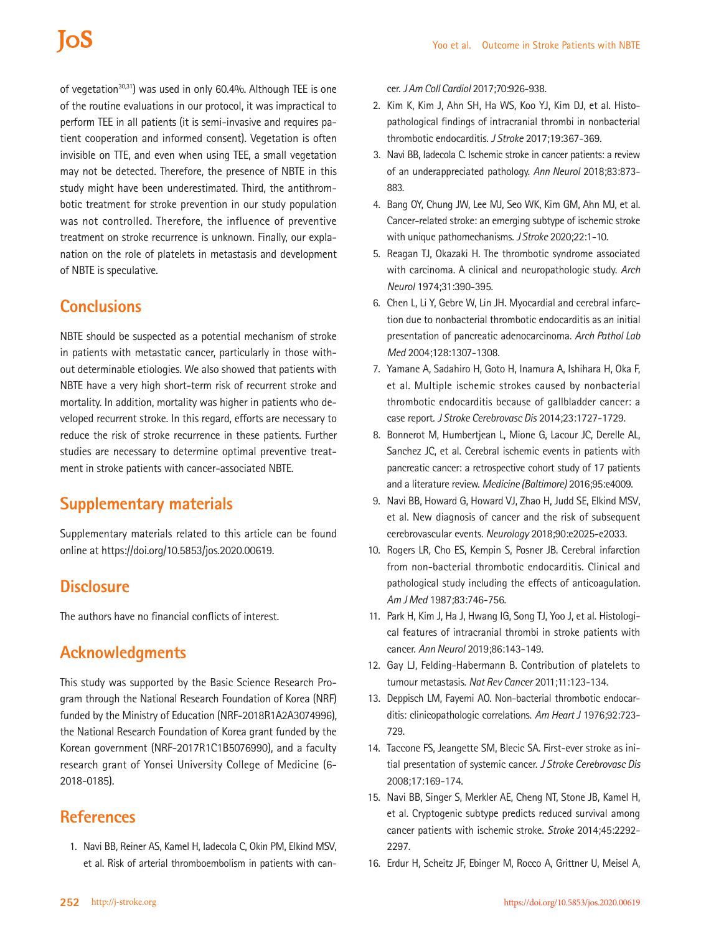# **IOS**

of vegetation<sup>30,31</sup>) was used in only 60.4%. Although TEE is one of the routine evaluations in our protocol, it was impractical to perform TEE in all patients (it is semi-invasive and requires patient cooperation and informed consent). Vegetation is often invisible on TTE, and even when using TEE, a small vegetation may not be detected. Therefore, the presence of NBTE in this study might have been underestimated. Third, the antithrombotic treatment for stroke prevention in our study population was not controlled. Therefore, the influence of preventive treatment on stroke recurrence is unknown. Finally, our explanation on the role of platelets in metastasis and development of NBTE is speculative.

# **Conclusions**

NBTE should be suspected as a potential mechanism of stroke in patients with metastatic cancer, particularly in those without determinable etiologies. We also showed that patients with NBTE have a very high short-term risk of recurrent stroke and mortality. In addition, mortality was higher in patients who developed recurrent stroke. In this regard, efforts are necessary to reduce the risk of stroke recurrence in these patients. Further studies are necessary to determine optimal preventive treatment in stroke patients with cancer-associated NBTE.

# **Supplementary materials**

Supplementary materials related to this article can be found online at https://doi.org/10.5853/jos.2020.00619.

## **Disclosure**

The authors have no financial conflicts of interest.

# **Acknowledgments**

This study was supported by the Basic Science Research Program through the National Research Foundation of Korea (NRF) funded by the Ministry of Education (NRF-2018R1A2A3074996), the National Research Foundation of Korea grant funded by the Korean government (NRF-2017R1C1B5076990), and a faculty research grant of Yonsei University College of Medicine (6- 2018-0185).

# **References**

1. Navi BB, Reiner AS, Kamel H, Iadecola C, Okin PM, Elkind MSV, et al. Risk of arterial thromboembolism in patients with cancer. *J Am Coll Cardiol* 2017;70:926-938.

- 2. Kim K, Kim J, Ahn SH, Ha WS, Koo YJ, Kim DJ, et al. Histopathological findings of intracranial thrombi in nonbacterial thrombotic endocarditis. *J Stroke* 2017;19:367-369.
- 3. Navi BB, Iadecola C. Ischemic stroke in cancer patients: a review of an underappreciated pathology. *Ann Neurol* 2018;83:873- 883.
- 4. Bang OY, Chung JW, Lee MJ, Seo WK, Kim GM, Ahn MJ, et al. Cancer-related stroke: an emerging subtype of ischemic stroke with unique pathomechanisms. *J Stroke* 2020;22:1-10.
- 5. Reagan TJ, Okazaki H. The thrombotic syndrome associated with carcinoma. A clinical and neuropathologic study. *Arch Neurol* 1974;31:390-395.
- 6. Chen L, Li Y, Gebre W, Lin JH. Myocardial and cerebral infarction due to nonbacterial thrombotic endocarditis as an initial presentation of pancreatic adenocarcinoma. *Arch Pathol Lab Med* 2004;128:1307-1308.
- 7. Yamane A, Sadahiro H, Goto H, Inamura A, Ishihara H, Oka F, et al. Multiple ischemic strokes caused by nonbacterial thrombotic endocarditis because of gallbladder cancer: a case report. *J Stroke Cerebrovasc Dis* 2014;23:1727-1729.
- 8. Bonnerot M, Humbertjean L, Mione G, Lacour JC, Derelle AL, Sanchez JC, et al. Cerebral ischemic events in patients with pancreatic cancer: a retrospective cohort study of 17 patients and a literature review. *Medicine (Baltimore)* 2016;95:e4009.
- 9. Navi BB, Howard G, Howard VJ, Zhao H, Judd SE, Elkind MSV, et al. New diagnosis of cancer and the risk of subsequent cerebrovascular events. *Neurology* 2018;90:e2025-e2033.
- 10. Rogers LR, Cho ES, Kempin S, Posner JB. Cerebral infarction from non-bacterial thrombotic endocarditis. Clinical and pathological study including the effects of anticoagulation. *Am J Med* 1987;83:746-756.
- 11. Park H, Kim J, Ha J, Hwang IG, Song TJ, Yoo J, et al. Histological features of intracranial thrombi in stroke patients with cancer. *Ann Neurol* 2019;86:143-149.
- 12. Gay LJ, Felding-Habermann B. Contribution of platelets to tumour metastasis. *Nat Rev Cancer* 2011;11:123-134.
- 13. Deppisch LM, Fayemi AO. Non-bacterial thrombotic endocarditis: clinicopathologic correlations. *Am Heart J* 1976;92:723- 729.
- 14. Taccone FS, Jeangette SM, Blecic SA. First-ever stroke as initial presentation of systemic cancer. *J Stroke Cerebrovasc Dis* 2008;17:169-174.
- 15. Navi BB, Singer S, Merkler AE, Cheng NT, Stone JB, Kamel H, et al. Cryptogenic subtype predicts reduced survival among cancer patients with ischemic stroke. *Stroke* 2014;45:2292- 2297.
- 16. Erdur H, Scheitz JF, Ebinger M, Rocco A, Grittner U, Meisel A,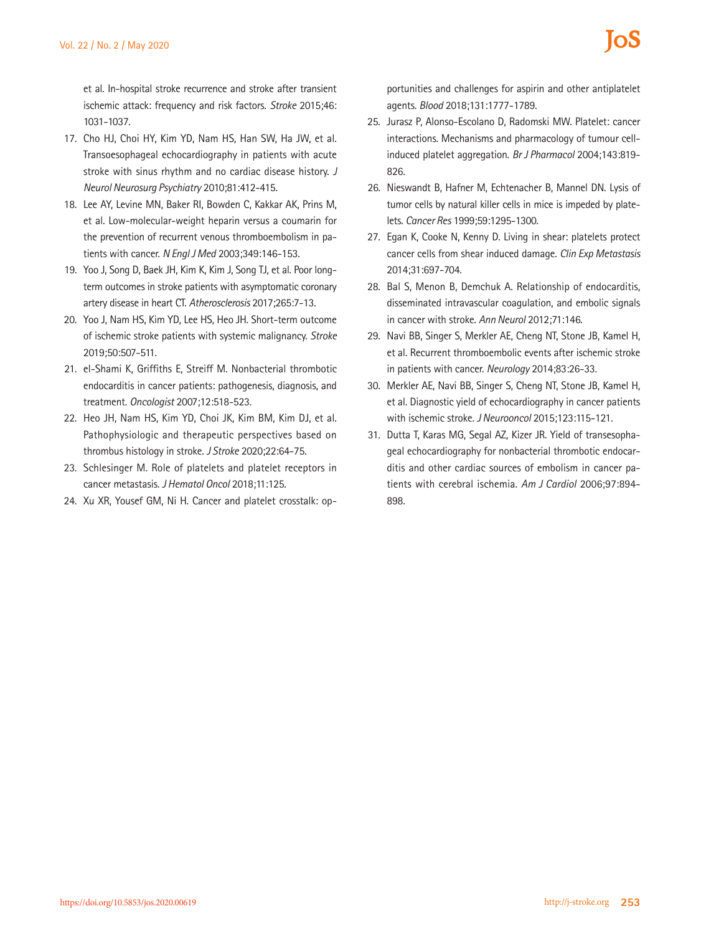et al. In-hospital stroke recurrence and stroke after transient ischemic attack: frequency and risk factors. *Stroke* 2015;46: 1031-1037.

- 17. Cho HJ, Choi HY, Kim YD, Nam HS, Han SW, Ha JW, et al. Transoesophageal echocardiography in patients with acute stroke with sinus rhythm and no cardiac disease history. *J Neurol Neurosurg Psychiatry* 2010;81:412-415.
- 18. Lee AY, Levine MN, Baker RI, Bowden C, Kakkar AK, Prins M, et al. Low-molecular-weight heparin versus a coumarin for the prevention of recurrent venous thromboembolism in patients with cancer. *N Engl J Med* 2003;349:146-153.
- 19. Yoo J, Song D, Baek JH, Kim K, Kim J, Song TJ, et al. Poor longterm outcomes in stroke patients with asymptomatic coronary artery disease in heart CT. *Atherosclerosis* 2017;265:7-13.
- 20. Yoo J, Nam HS, Kim YD, Lee HS, Heo JH. Short-term outcome of ischemic stroke patients with systemic malignancy. *Stroke* 2019;50:507-511.
- 21. el-Shami K, Griffiths E, Streiff M. Nonbacterial thrombotic endocarditis in cancer patients: pathogenesis, diagnosis, and treatment. *Oncologist* 2007;12:518-523.
- 22. Heo JH, Nam HS, Kim YD, Choi JK, Kim BM, Kim DJ, et al. Pathophysiologic and therapeutic perspectives based on thrombus histology in stroke. *J Stroke* 2020;22:64-75.
- 23. Schlesinger M. Role of platelets and platelet receptors in cancer metastasis. *J Hematol Oncol* 2018;11:125.
- 24. Xu XR, Yousef GM, Ni H. Cancer and platelet crosstalk: op-

portunities and challenges for aspirin and other antiplatelet agents. *Blood* 2018;131:1777-1789.

- 25. Jurasz P, Alonso-Escolano D, Radomski MW. Platelet: cancer interactions. Mechanisms and pharmacology of tumour cellinduced platelet aggregation. *Br J Pharmacol* 2004;143:819- 826.
- 26. Nieswandt B, Hafner M, Echtenacher B, Mannel DN. Lysis of tumor cells by natural killer cells in mice is impeded by platelets. *Cancer Res* 1999;59:1295-1300.
- 27. Egan K, Cooke N, Kenny D. Living in shear: platelets protect cancer cells from shear induced damage. *Clin Exp Metastasis*  2014;31:697-704.
- 28. Bal S, Menon B, Demchuk A. Relationship of endocarditis, disseminated intravascular coagulation, and embolic signals in cancer with stroke. *Ann Neurol* 2012;71:146.
- 29. Navi BB, Singer S, Merkler AE, Cheng NT, Stone JB, Kamel H, et al. Recurrent thromboembolic events after ischemic stroke in patients with cancer. *Neurology* 2014;83:26-33.
- 30. Merkler AE, Navi BB, Singer S, Cheng NT, Stone JB, Kamel H, et al. Diagnostic yield of echocardiography in cancer patients with ischemic stroke. *J Neurooncol* 2015;123:115-121.
- 31. Dutta T, Karas MG, Segal AZ, Kizer JR. Yield of transesophageal echocardiography for nonbacterial thrombotic endocarditis and other cardiac sources of embolism in cancer patients with cerebral ischemia. *Am J Cardiol* 2006;97:894- 898.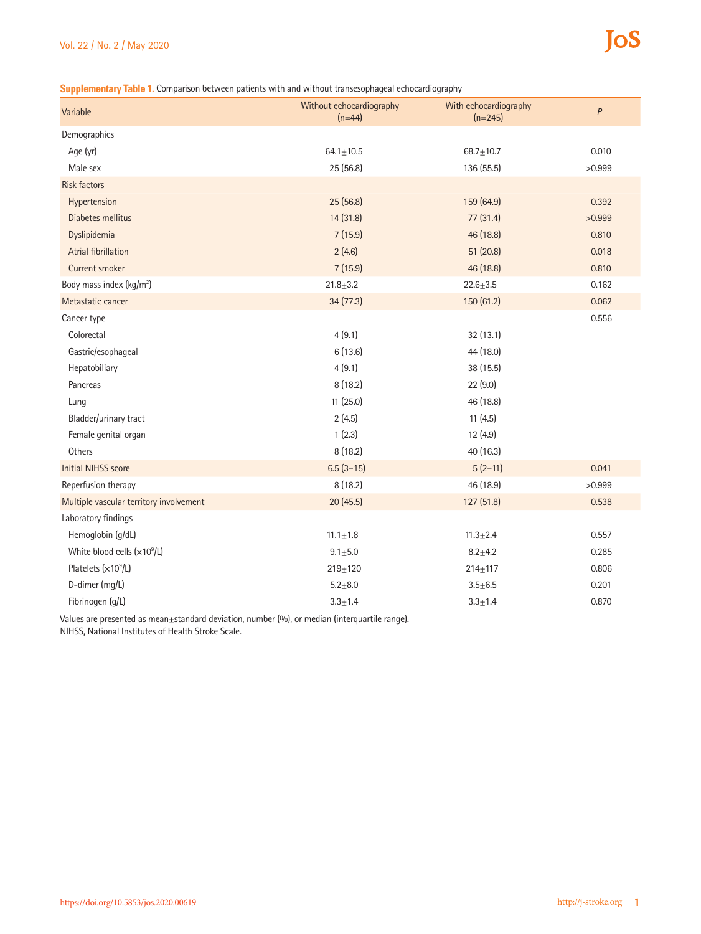#### **Supplementary Table 1.** Comparison between patients with and without transesophageal echocardiography

| Variable                                | Without echocardiography<br>$(n=44)$ | With echocardiography<br>$(n=245)$ | $\boldsymbol{P}$ |
|-----------------------------------------|--------------------------------------|------------------------------------|------------------|
| Demographics                            |                                      |                                    |                  |
| Age (yr)                                | $64.1 \pm 10.5$                      | $68.7 \pm 10.7$                    | 0.010            |
| Male sex                                | 25(56.8)                             | 136 (55.5)                         | >0.999           |
| <b>Risk factors</b>                     |                                      |                                    |                  |
| Hypertension                            | 25 (56.8)                            | 159 (64.9)                         | 0.392            |
| Diabetes mellitus                       | 14 (31.8)                            | 77 (31.4)                          | >0.999           |
| Dyslipidemia                            | 7(15.9)                              | 46 (18.8)                          | 0.810            |
| <b>Atrial fibrillation</b>              | 2(4.6)                               | 51(20.8)                           | 0.018            |
|                                         |                                      |                                    |                  |
| <b>Current smoker</b>                   | 7(15.9)                              | 46 (18.8)                          | 0.810            |
| Body mass index (kg/m <sup>2</sup> )    | $21.8 + 3.2$                         | $22.6 + 3.5$                       | 0.162            |
| Metastatic cancer                       | 34(77.3)                             | 150 (61.2)                         | 0.062            |
| Cancer type                             |                                      |                                    | 0.556            |
| Colorectal                              | 4(9.1)                               | 32(13.1)                           |                  |
| Gastric/esophageal                      | 6(13.6)                              | 44 (18.0)                          |                  |
| Hepatobiliary                           | 4(9.1)                               | 38 (15.5)                          |                  |
| Pancreas                                | 8(18.2)                              | 22 (9.0)                           |                  |
| Lung                                    | 11(25.0)                             | 46 (18.8)                          |                  |
| Bladder/urinary tract                   | 2(4.5)                               | 11(4.5)                            |                  |
| Female genital organ                    | 1(2.3)                               | 12(4.9)                            |                  |
| Others                                  | 8(18.2)                              | 40 (16.3)                          |                  |
| <b>Initial NIHSS score</b>              | $6.5(3-15)$                          | $5(2-11)$                          | 0.041            |
| Reperfusion therapy                     | 8(18.2)                              | 46 (18.9)                          | >0.999           |
| Multiple vascular territory involvement | 20 (45.5)                            | 127 (51.8)                         | 0.538            |
| Laboratory findings                     |                                      |                                    |                  |
| Hemoglobin (g/dL)                       | $11.1 \pm 1.8$                       | $11.3 + 2.4$                       | 0.557            |
| White blood cells $(x10^9/L)$           | $9.1 + 5.0$                          | $8.2 + 4.2$                        | 0.285            |
| Platelets (x10 <sup>9</sup> /L)         | $219 + 120$                          | $214 \pm 117$                      | 0.806            |
| D-dimer (mg/L)                          | $5.2 + 8.0$                          | $3.5 + 6.5$                        | 0.201            |
| Fibrinogen (g/L)                        | $3.3 + 1.4$                          | $3.3 + 1.4$                        | 0.870            |

Values are presented as mean±standard deviation, number (%), or median (interquartile range). NIHSS, National Institutes of Health Stroke Scale.